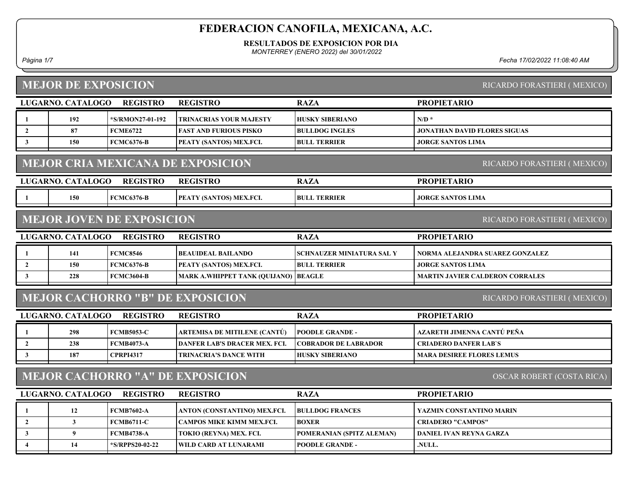#### RESULTADOS DE EXPOSICION POR DIA

MONTERREY (ENERO 2022) del 30/01/2022

Página 1/7 Fecha 17/02/2022 11:08:40 AM

## MEJOR DE EXPOSICION

| MEJOK DE EAI OSICIÓN<br><b>NICARDO FORASTIENI (MEARO)</b>            |                          |                                  |                                          |                                  |                                        |  |
|----------------------------------------------------------------------|--------------------------|----------------------------------|------------------------------------------|----------------------------------|----------------------------------------|--|
|                                                                      | <b>LUGARNO. CATALOGO</b> | <b>REGISTRO</b>                  | <b>REGISTRO</b>                          | <b>RAZA</b>                      | <b>PROPIETARIO</b>                     |  |
| 1                                                                    | 192                      | *S/RMON27-01-192                 | <b>TRINACRIAS YOUR MAJESTY</b>           | <b>HUSKY SIBERIANO</b>           | $N/D$ *                                |  |
| $\overline{2}$                                                       | 87                       | <b>FCME6722</b>                  | <b>FAST AND FURIOUS PISKO</b>            | <b>BULLDOG INGLES</b>            | JONATHAN DAVID FLORES SIGUAS           |  |
| $\mathbf{3}$                                                         | 150                      | <b>FCMC6376-B</b>                | PEATY (SANTOS) MEX.FCI.                  | <b>BULL TERRIER</b>              | <b>JORGE SANTOS LIMA</b>               |  |
|                                                                      |                          |                                  | <b>MEJOR CRIA MEXICANA DE EXPOSICION</b> |                                  | RICARDO FORASTIERI (MEXICO)            |  |
|                                                                      | LUGARNO. CATALOGO        | <b>REGISTRO</b>                  | <b>REGISTRO</b>                          | <b>RAZA</b>                      | <b>PROPIETARIO</b>                     |  |
| -1                                                                   | 150                      | <b>FCMC6376-B</b>                | PEATY (SANTOS) MEX.FCI.                  | <b>BULL TERRIER</b>              | <b>JORGE SANTOS LIMA</b>               |  |
|                                                                      |                          | <b>MEJOR JOVEN DE EXPOSICION</b> |                                          |                                  | RICARDO FORASTIERI (MEXICO)            |  |
|                                                                      | LUGARNO. CATALOGO        | <b>REGISTRO</b>                  | <b>REGISTRO</b>                          | <b>RAZA</b>                      | <b>PROPIETARIO</b>                     |  |
| -1                                                                   | 141                      | <b>FCMC8546</b>                  | <b>BEAUIDEAL BAILANDO</b>                | <b>SCHNAUZER MINIATURA SAL Y</b> | NORMA ALEJANDRA SUAREZ GONZALEZ        |  |
| $\overline{2}$                                                       | 150                      | <b>FCMC6376-B</b>                | PEATY (SANTOS) MEX.FCI.                  | <b>BULL TERRIER</b>              | <b>JORGE SANTOS LIMA</b>               |  |
| $\mathbf{3}$                                                         | 228                      | <b>FCMC3604-B</b>                | MARK A.WHIPPET TANK (QUIJANO)            | <b>BEAGLE</b>                    | <b>MARTIN JAVIER CALDERON CORRALES</b> |  |
|                                                                      |                          |                                  | <b>MEJOR CACHORRO "B" DE EXPOSICION</b>  |                                  | RICARDO FORASTIERI (MEXICO)            |  |
|                                                                      | LUGARNO. CATALOGO        | <b>REGISTRO</b>                  | <b>REGISTRO</b>                          | <b>RAZA</b>                      | <b>PROPIETARIO</b>                     |  |
| -1                                                                   | 298                      | <b>FCMB5053-C</b>                | ARTEMISA DE MITILENE (CANTÚ)             | <b>POODLE GRANDE -</b>           | AZARETH JIMENNA CANTÚ PEÑA             |  |
| $\overline{2}$                                                       | 238                      | <b>FCMB4073-A</b>                | <b>DANFER LAB'S DRACER MEX. FCI.</b>     | <b>COBRADOR DE LABRADOR</b>      | <b>CRIADERO DANFER LAB'S</b>           |  |
| $\mathbf{3}$                                                         | 187                      | <b>CPRPI4317</b>                 | <b>TRINACRIA'S DANCE WITH</b>            | <b>HUSKY SIBERIANO</b>           | <b>MARA DESIREE FLORES LEMUS</b>       |  |
| <b>MEJOR CACHORRO "A" DE EXPOSICION</b><br>OSCAR ROBERT (COSTA RICA) |                          |                                  |                                          |                                  |                                        |  |
|                                                                      | LUGARNO. CATALOGO        | <b>REGISTRO</b>                  | <b>REGISTRO</b>                          | <b>RAZA</b>                      | <b>PROPIETARIO</b>                     |  |
| 1                                                                    | 12                       | <b>FCMB7602-A</b>                | ANTON (CONSTANTINO) MEX.FCI.             | <b>BULLDOG FRANCES</b>           | YAZMIN CONSTANTINO MARIN               |  |
| $\overline{2}$                                                       | $\mathbf{3}$             | <b>FCMB6711-C</b>                | CAMPOS MIKE KIMM MEX.FCI.                | <b>BOXER</b>                     | <b>CRIADERO "CAMPOS"</b>               |  |
| $\mathbf{3}$                                                         | $\boldsymbol{9}$         | <b>FCMB4738-A</b>                | TOKIO (REYNA) MEX. FCI.                  | POMERANIAN (SPITZ ALEMAN)        | <b>DANIEL IVAN REYNA GARZA</b>         |  |
| $\overline{\mathbf{4}}$                                              | 14                       | *S/RPPS20-02-22                  | <b>WILD CARD AT LUNARAMI</b>             | <b>POODLE GRANDE -</b>           | .NULL.                                 |  |

RICARDO FORASTIERI ( MEXICO)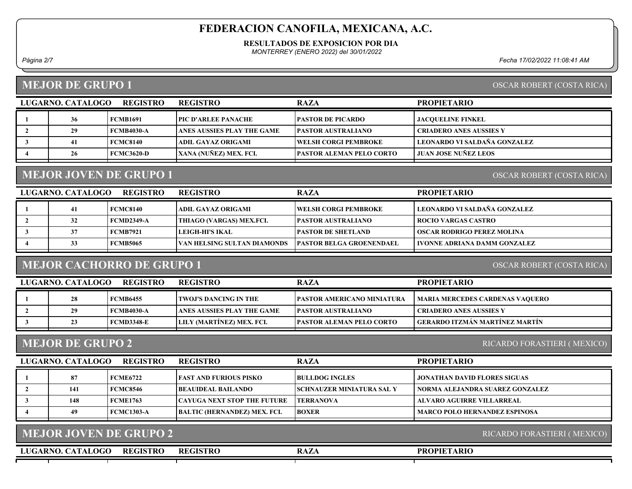#### RESULTADOS DE EXPOSICION POR DIA

MONTERREY (ENERO 2022) del 30/01/2022

Página 2/7 Fecha 17/02/2022 11:08:41 AM

#### MEJOR DE GRUPO 1

| OSCAR ROBERT (COSTA RICA) |  |
|---------------------------|--|
|                           |  |

| LUGARNO. CATALOGO | <b>REGISTRO</b>   | <b>REGISTRO</b>            | <b>RAZA</b>                     | <b>PROPIETARIO</b>            |
|-------------------|-------------------|----------------------------|---------------------------------|-------------------------------|
| 36                | <b>FCMB1691</b>   | [PIC D'ARLEE PANACHE]      | <b>IPASTOR DE PICARDO</b>       | <b>JACOUELINE FINKEL</b>      |
| 29                | <b>FCMB4030-A</b> | ANES AUSSIES PLAY THE GAME | <b>PASTOR AUSTRALIANO</b>       | CRIADERO ANES AUSSIES Y       |
| 41                | <b>FCMC8140</b>   | ADIL GAYAZ ORIGAMI         | <b>TWELSH CORGI PEMBROKE</b>    | LEONARDO VI SALDAÑA GONZALEZ  |
| 26                | <b>FCMC3620-D</b> | XANA (NUÑEZ) MEX. FCI.     | <b>PASTOR ALEMAN PELO CORTO</b> | <b>I JUAN JOSE NUÑEZ LEOS</b> |

## MEJOR JOVEN DE GRUPO 1

OSCAR ROBERT (COSTA RICA)

| <b>REGISTRO</b><br>LUGARNO. CATALOGO |    |                   | <b>REGISTRO</b>             | <b>RAZA</b>                      | <b>PROPIETARIO</b>             |
|--------------------------------------|----|-------------------|-----------------------------|----------------------------------|--------------------------------|
|                                      |    | <b>FCMC8140</b>   | ADIL GAYAZ ORIGAMI          | <b>TWELSH CORGI PEMBROKE</b>     | LEONARDO VI SALDAÑA GONZALEZ   |
|                                      | 32 | <b>FCMD2349-A</b> | THIAGO (VARGAS) MEX.FCI.    | <b>PASTOR AUSTRALIANO</b>        | <b>ROCIO VARGAS CASTRO</b>     |
|                                      |    | <b>FCMB7921</b>   | LEIGH-HI'S IKAL             | <b>IPASTOR DE SHETLAND</b>       | OSCAR RODRIGO PEREZ MOLINA     |
|                                      | 33 | FCMB5065          | VAN HELSING SULTAN DIAMONDS | <b>TPASTOR BELGA GROENENDAEL</b> | I IVONNE ADRIANA DAMM GONZALEZ |
|                                      |    |                   |                             |                                  |                                |

# MEJOR CACHORRO DE GRUPO 1

OSCAR ROBERT (COSTA RICA)

| LUGARNO. CATALOGO | <b>REGISTRO</b>   | <b>REGISTRO</b>            | <b>RAZA</b>                       | <b>PROPIETARIO</b>                     |
|-------------------|-------------------|----------------------------|-----------------------------------|----------------------------------------|
| 28                | <b>FCMB6455</b>   | TWOJ'S DANCING IN THE      | <b>PASTOR AMERICANO MINIATURA</b> | <b>MARIA MERCEDES CARDENAS VAQUERO</b> |
|                   | <b>FCMB4030-A</b> | ANES AUSSIES PLAY THE GAME | <b>PASTOR AUSTRALIANO</b>         | I CRIADERO ANES AUSSIES Y              |
|                   | <b>FCMD3348-E</b> | LILY (MARTÍNEZ) MEX. FCI.  | <b>IPASTOR ALEMAN PELO CORTO</b>  | GERARDO ITZMÁN MARTÍNEZ MARTÍN         |

#### MEJOR DE GRUPO 2

RICARDO FORASTIERI ( MEXICO)

| LUGARNO. CATALOGO<br><b>REGISTRO</b> |     |                   | <b>REGISTRO</b>                     | <b>RAZA</b>                      | <b>PROPIETARIO</b>                   |
|--------------------------------------|-----|-------------------|-------------------------------------|----------------------------------|--------------------------------------|
|                                      | 87  | <b>FCME6722</b>   | <b>FAST AND FURIOUS PISKO</b>       | <b>IBULLDOG INGLES</b>           | <b>JONATHAN DAVID FLORES SIGUAS</b>  |
|                                      | 141 | <b>FCMC8546</b>   | <b>BEAUIDEAL BAILANDO</b>           | <b>SCHNAUZER MINIATURA SAL Y</b> | NORMA ALEJANDRA SUAREZ GONZALEZ      |
|                                      | 148 | <b>FCME1763</b>   | <b> CAYUGA NEXT STOP THE FUTURE</b> | <b>TERRANOVA</b>                 | ALVARO AGUIRRE VILLARREAL            |
|                                      | 49  | <b>FCMC1303-A</b> | <b>BALTIC (HERNANDEZ) MEX. FCI.</b> | <b>BOXER</b>                     | <b>MARCO POLO HERNANDEZ ESPINOSA</b> |

| MEJOR JOVEN DE GRUPO 2               | RICARDO FORASTIERI (MEXICO) |             |                    |
|--------------------------------------|-----------------------------|-------------|--------------------|
| LUGARNO. CATALOGO<br><b>REGISTRO</b> | <b>REGISTRO</b>             | <b>RAZA</b> | <b>PROPIETARIO</b> |
|                                      |                             |             |                    |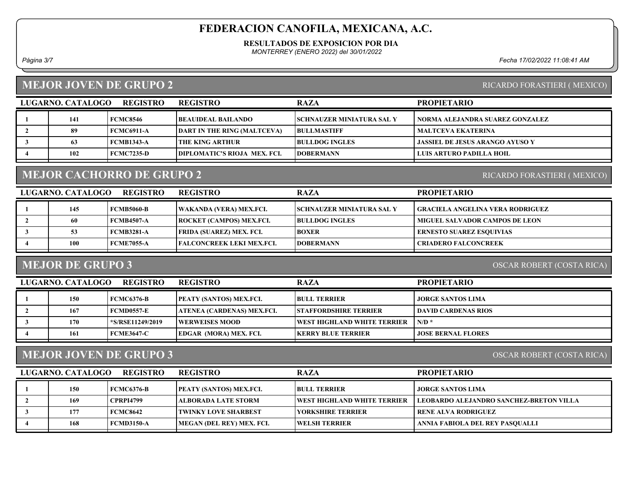#### RESULTADOS DE EXPOSICION POR DIA

MONTERREY (ENERO 2022) del 30/01/2022

Página 3/7 Fecha 17/02/2022 11:08:41 AM

#### MEJOR JOVEN DE GRUPO 2

#### RICARDO FORASTIERI ( MEXICO)

RICARDO FORASTIERI ( MEXICO)

| LUGARNO. CATALOGO | <b>REGISTRO</b>   | <b>REGISTRO</b>                     | <b>RAZA</b>                       | <b>PROPIETARIO</b>                     |
|-------------------|-------------------|-------------------------------------|-----------------------------------|----------------------------------------|
| 141               | <b>FCMC8546</b>   | <b>BEAUIDEAL BAILANDO</b>           | <b>ISCHNAUZER MINIATURA SAL Y</b> | NORMA ALEJANDRA SUAREZ GONZALEZ        |
| 89                | FCMC6911-A        | <b>DART IN THE RING (MALTCEVA)</b>  | <b>BULLMASTIFF</b>                | <b>MALTCEVA EKATERINA</b>              |
|                   | FCMB1343-A        | I THE KING ARTHUR-                  | <b>BULLDOG INGLES</b>             | <b>JASSIEL DE JESUS ARANGO AYUSO Y</b> |
| 102               | <b>FCMC7235-D</b> | <b>DIPLOMATIC'S RIOJA MEX. FCL.</b> | <b>IDOBERMANN</b>                 | LUIS ARTURO PADILLA HOIL               |

## MEJOR CACHORRO DE GRUPO 2

LUGARNO. CATALOGO REGISTRO REGISTRO RAZA PROPIETARIO 1 145 FCMB5060-B WAKANDA (VERA) MEX.FCI. SCHNAUZER MINIATURA SAL Y GRACIELA ANGELINA VERA RODRIGUEZ 2 60 FCMB4507-A ROCKET (CAMPOS) MEX.FCI. BULLDOG INGLES MIGUEL SALVADOR CAMPOS DE LEON 3 FEMB3281-A FRIDA (SUAREZ) MEX. FCI. BOXER ERNESTO SUAREZ ESQUIVIAS 4 100 FCME7055-A FALCONCREEK LEKI MEX.FCI. DOBERMANN CRIADERO FALCONCREEK

#### MEJOR DE GRUPO 3

OSCAR ROBERT (COSTA RICA)

| LUGARNO. CATALOGO<br><b>REGISTRO</b> |     |                  | <b>REGISTRO</b>                | <b>RAZA</b>                   | <b>PROPIETARIO</b>        |
|--------------------------------------|-----|------------------|--------------------------------|-------------------------------|---------------------------|
|                                      | 150 | FCMC6376-B       | <b>PEATY (SANTOS) MEX.FCI.</b> | <b>BULL TERRIER</b>           | <b>JORGE SANTOS LIMA</b>  |
|                                      | 167 | FCMD0557-E       | ATENEA (CARDENAS) MEX.FCI.     | <b>ISTAFFORDSHIRE TERRIER</b> | DAVID CARDENAS RIOS       |
|                                      | 170 | *S/RSE11249/2019 | <b>EWERWEISES MOOD</b>         | WEST HIGHLAND WHITE TERRIER   | $N/D$ *                   |
|                                      | 161 | FCME3647-C       | <b>EDGAR (MORA) MEX. FCI.</b>  | <b>IKERRY BLUE TERRIER</b>    | <b>JOSE BERNAL FLORES</b> |

#### MEJOR JOVEN DE GRUPO 3

OSCAR ROBERT (COSTA RICA)

| LUGARNO. CATALOGO | <b>REGISTRO</b>  | <b>REGISTRO</b>                | <b>RAZA</b>                         | <b>PROPIETARIO</b>                             |
|-------------------|------------------|--------------------------------|-------------------------------------|------------------------------------------------|
| 150               | FCMC6376-B       | <b>PEATY (SANTOS) MEX.FCI.</b> | <b>BULL TERRIER</b>                 | JORGE SANTOS LIMA                              |
| 169               | <b>CPRPI4799</b> | <b>  ALBORADA LATE STORM</b>   | <b>TWEST HIGHLAND WHITE TERRIER</b> | <b>LEOBARDO ALEJANDRO SANCHEZ-BRETON VILLA</b> |
| 177               | FCMC8642         | <b>TWINKY LOVE SHARBEST</b>    | YORKSHIRE TERRIER                   | RENE ALVA RODRIGUEZ                            |
| 168               | FCMD3150-A       | MEGAN (DEL REY) MEX. FCI.      | <b>IWELSH TERRIER</b>               | ANNIA FABIOLA DEL REY PASOUALLI                |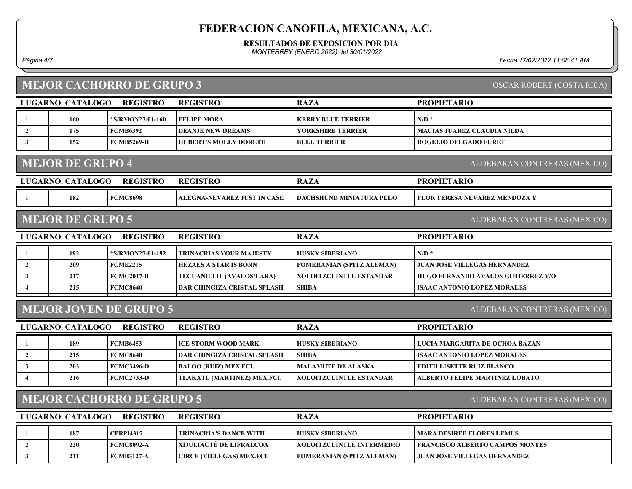#### RESULTADOS DE EXPOSICION POR DIA

MONTERREY (ENERO 2022) del 30/01/2022

## MEJOR CACHORRO DE CRIPO 3

Página 4/7 Fecha 17/02/2022 11:08:41 AM

|                                                                  |                         | <b>MEJOR CACHORRO DE GRUPO 3</b> | <b>OSCAR ROBERT (COSTA RICA)</b>   |                                  |                                           |  |
|------------------------------------------------------------------|-------------------------|----------------------------------|------------------------------------|----------------------------------|-------------------------------------------|--|
|                                                                  | LUGARNO. CATALOGO       | <b>REGISTRO</b>                  | <b>REGISTRO</b>                    | <b>RAZA</b>                      | <b>PROPIETARIO</b>                        |  |
|                                                                  | 160                     | *S/RMON27-01-160                 | <b>FELIPE MORA</b>                 | <b>KERRY BLUE TERRIER</b>        | $N/D$ *                                   |  |
| $\overline{2}$                                                   | 175                     | <b>FCMB6392</b>                  | <b>DEANJE NEW DREAMS</b>           | <b>YORKSHIRE TERRIER</b>         | MACIAS JUAREZ CLAUDIA NILDA               |  |
| $\mathbf{3}$                                                     | 152                     | <b>FCMB5269-H</b>                | <b>HUBERT'S MOLLY DORETH</b>       | <b>BULL TERRIER</b>              | <b>ROGELIO DELGADO FURET</b>              |  |
|                                                                  | <b>MEJOR DE GRUPO 4</b> |                                  |                                    |                                  | ALDEBARAN CONTRERAS (MEXICO)              |  |
|                                                                  | LUGARNO. CATALOGO       | <b>REGISTRO</b>                  | <b>REGISTRO</b>                    | <b>RAZA</b>                      | <b>PROPIETARIO</b>                        |  |
|                                                                  | 182                     | <b>FCMC8698</b>                  | <b>ALEGNA-NEVAREZ JUST IN CASE</b> | <b>DACHSHUND MINIATURA PELO</b>  | <b>FLOR TERESA NEVAREZ MENDOZA Y</b>      |  |
|                                                                  | <b>MEJOR DE GRUPO 5</b> |                                  |                                    |                                  | ALDEBARAN CONTRERAS (MEXICO)              |  |
|                                                                  | LUGARNO. CATALOGO       | <b>REGISTRO</b>                  | <b>REGISTRO</b>                    | <b>RAZA</b>                      | <b>PROPIETARIO</b>                        |  |
|                                                                  | 192                     | *S/RMON27-01-192                 | TRINACRIAS YOUR MAJESTY            | <b>HUSKY SIBERIANO</b>           | $N/D$ *                                   |  |
| $\overline{2}$                                                   | 209                     | <b>FCME2215</b>                  | <b>HEZAES A STAR IS BORN</b>       | POMERANIAN (SPITZ ALEMAN)        | <b>JUAN JOSE VILLEGAS HERNANDEZ</b>       |  |
| $\mathbf{3}$                                                     | 217                     | <b>FCMC2017-B</b>                | TECUANILLO (AVALOS/LARA)           | XOLOITZCUINTLE ESTANDAR          | <b>HUGO FERNANDO AVALOS GUTIERREZ Y/O</b> |  |
| $\overline{4}$                                                   | 215                     | <b>FCMC8640</b>                  | <b>DAR CHINGIZA CRISTAL SPLASH</b> | <b>SHIBA</b>                     | <b>ISAAC ANTONIO LOPEZ MORALES</b>        |  |
|                                                                  |                         | <b>MEJOR JOVEN DE GRUPO 5</b>    |                                    |                                  | ALDEBARAN CONTRERAS (MEXICO)              |  |
|                                                                  | LUGARNO. CATALOGO       | <b>REGISTRO</b>                  | <b>REGISTRO</b>                    | <b>RAZA</b>                      | <b>PROPIETARIO</b>                        |  |
| -1                                                               | 189                     | <b>FCMB6453</b>                  | ICE STORM WOOD MARK                | <b>HUSKY SIBERIANO</b>           | LUCIA MARGARITA DE OCHOA BAZAN            |  |
| $\overline{2}$                                                   | 215                     | <b>FCMC8640</b>                  | <b>DAR CHINGIZA CRISTAL SPLASH</b> | <b>SHIBA</b>                     | <b>ISAAC ANTONIO LOPEZ MORALES</b>        |  |
| 3                                                                | 203                     | <b>FCMC3496-D</b>                | <b>BALOO (RUIZ) MEX.FCI.</b>       | <b>MALAMUTE DE ALASKA</b>        | <b>EDITH LISETTE RUIZ BLANCO</b>          |  |
| 4                                                                | 216                     | <b>FCMC2733-D</b>                | TLAKATL (MARTINEZ) MEX.FCI.        | <b>XOLOITZCUINTLE ESTANDAR</b>   | <b>ALBERTO FELIPE MARTINEZ LOBATO</b>     |  |
| <b>MEJOR CACHORRO DE GRUPO 5</b><br>ALDEBARAN CONTRERAS (MEXICO) |                         |                                  |                                    |                                  |                                           |  |
|                                                                  | LUGARNO. CATALOGO       | <b>REGISTRO</b>                  | <b>REGISTRO</b>                    | <b>RAZA</b>                      | <b>PROPIETARIO</b>                        |  |
| -1                                                               | 187                     | <b>CPRPI4317</b>                 | <b>TRINACRIA'S DANCE WITH</b>      | <b>HUSKY SIBERIANO</b>           | <b>MARA DESIREE FLORES LEMUS</b>          |  |
| $\overline{2}$                                                   | 220                     | <b>FCMC8092-A</b>                | XIJULIACTÉ DE LIFRALCOA            | <b>XOLOITZCUINTLE INTERMEDIO</b> | <b>FRANCISCO ALBERTO CAMPOS MONTES</b>    |  |
| $\mathbf{3}$                                                     | 211                     | <b>FCMB3127-A</b>                | CIRCE (VILLEGAS) MEX.FCI.          | POMERANIAN (SPITZ ALEMAN)        | JUAN JOSE VILLEGAS HERNANDEZ              |  |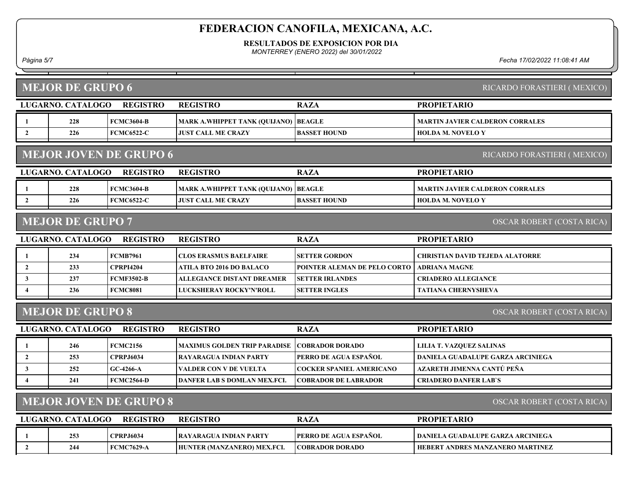RESULTADOS DE EXPOSICION POR DIA

MONTERREY (ENERO 2022) del 30/01/2022

Página 5/7 Fecha 17/02/2022 11:08:41 AM

|                         | <b>MEJOR DE GRUPO 6</b>                                    |                               |                                     |                                 | RICARDO FORASTIERI (MEXICO)            |  |
|-------------------------|------------------------------------------------------------|-------------------------------|-------------------------------------|---------------------------------|----------------------------------------|--|
|                         | LUGARNO. CATALOGO                                          | <b>REGISTRO</b>               | <b>REGISTRO</b>                     | <b>RAZA</b>                     | <b>PROPIETARIO</b>                     |  |
| 1                       | 228                                                        | <b>FCMC3604-B</b>             | MARK A.WHIPPET TANK (QUIJANO)       | <b>BEAGLE</b>                   | <b>MARTIN JAVIER CALDERON CORRALES</b> |  |
| $\overline{2}$          | 226                                                        | <b>FCMC6522-C</b>             | <b>JUST CALL ME CRAZY</b>           | <b>BASSET HOUND</b>             | <b>HOLDA M. NOVELO Y</b>               |  |
|                         |                                                            | <b>MEJOR JOVEN DE GRUPO 6</b> |                                     |                                 | RICARDO FORASTIERI (MEXICO)            |  |
|                         | LUGARNO. CATALOGO                                          | <b>REGISTRO</b>               | <b>REGISTRO</b>                     | <b>RAZA</b>                     | <b>PROPIETARIO</b>                     |  |
| -1                      | 228                                                        | <b>FCMC3604-B</b>             | MARK A.WHIPPET TANK (QUIJANO)       | <b>BEAGLE</b>                   | <b>MARTIN JAVIER CALDERON CORRALES</b> |  |
| $\overline{2}$          | 226                                                        | <b>FCMC6522-C</b>             | <b>JUST CALL ME CRAZY</b>           | <b>BASSET HOUND</b>             | <b>HOLDA M. NOVELO Y</b>               |  |
|                         | <b>MEJOR DE GRUPO 7</b>                                    |                               |                                     |                                 | <b>OSCAR ROBERT (COSTA RICA)</b>       |  |
|                         | <b>LUGARNO. CATALOGO</b>                                   | <b>REGISTRO</b>               | <b>REGISTRO</b>                     | <b>RAZA</b>                     | <b>PROPIETARIO</b>                     |  |
| 1                       | 234                                                        | <b>FCMB7961</b>               | <b>CLOS ERASMUS BAELFAIRE</b>       | <b>SETTER GORDON</b>            | CHRISTIAN DAVID TEJEDA ALATORRE        |  |
| $\overline{2}$          | 233                                                        | <b>CPRPI4204</b>              | <b>ATILA BTO 2016 DO BALACO</b>     | POINTER ALEMAN DE PELO CORTO    | <b>ADRIANA MAGNE</b>                   |  |
| $\mathbf{3}$            | 237                                                        | <b>FCMF3502-B</b>             | <b>ALLEGIANCE DISTANT DREAMER</b>   | <b>SETTER IRLANDES</b>          | <b>CRIADERO ALLEGIANCE</b>             |  |
| $\overline{4}$          | 236                                                        | <b>FCMC8081</b>               | LUCKSHERAY ROCKY'N'ROLL             | <b>SETTER INGLES</b>            | <b>TATIANA CHERNYSHEVA</b>             |  |
|                         | <b>MEJOR DE GRUPO 8</b>                                    |                               |                                     |                                 | <b>OSCAR ROBERT (COSTA RICA)</b>       |  |
|                         | LUGARNO. CATALOGO                                          | <b>REGISTRO</b>               | <b>REGISTRO</b>                     | <b>RAZA</b>                     | <b>PROPIETARIO</b>                     |  |
| 1                       | 246                                                        | <b>FCMC2156</b>               | <b>MAXIMUS GOLDEN TRIP PARADISE</b> | <b>COBRADOR DORADO</b>          | <b>LILIA T. VAZQUEZ SALINAS</b>        |  |
| $\overline{2}$          | 253                                                        | <b>CPRPJ6034</b>              | <b>RAYARAGUA INDIAN PARTY</b>       | PERRO DE AGUA ESPAÑOL           | DANIELA GUADALUPE GARZA ARCINIEGA      |  |
| $\mathbf{3}$            | 252                                                        | GC-4266-A                     | VALDER CON V DE VUELTA              | <b>COCKER SPANIEL AMERICANO</b> | AZARETH JIMENNA CANTÚ PEÑA             |  |
| $\overline{\mathbf{4}}$ | 241                                                        | <b>FCMC2564-D</b>             | <b>DANFER LAB S DOMLAN MEX.FCI.</b> | <b>COBRADOR DE LABRADOR</b>     | <b>CRIADERO DANFER LAB'S</b>           |  |
|                         | <b>MEJOR JOVEN DE GRUPO 8</b><br>OSCAR ROBERT (COSTA RICA) |                               |                                     |                                 |                                        |  |
|                         | <b>LUGARNO. CATALOGO</b>                                   | <b>REGISTRO</b>               | <b>REGISTRO</b>                     | <b>RAZA</b>                     | <b>PROPIETARIO</b>                     |  |
| -1                      | 253                                                        | <b>CPRPJ6034</b>              | <b>RAYARAGUA INDIAN PARTY</b>       | PERRO DE AGUA ESPAÑOL           | DANIELA GUADALUPE GARZA ARCINIEGA      |  |
| $\overline{2}$          | 244                                                        | <b>FCMC7629-A</b>             | HUNTER (MANZANERO) MEX.FCI.         | <b>COBRADOR DORADO</b>          | HEBERT ANDRES MANZANERO MARTINEZ       |  |
|                         |                                                            |                               |                                     |                                 |                                        |  |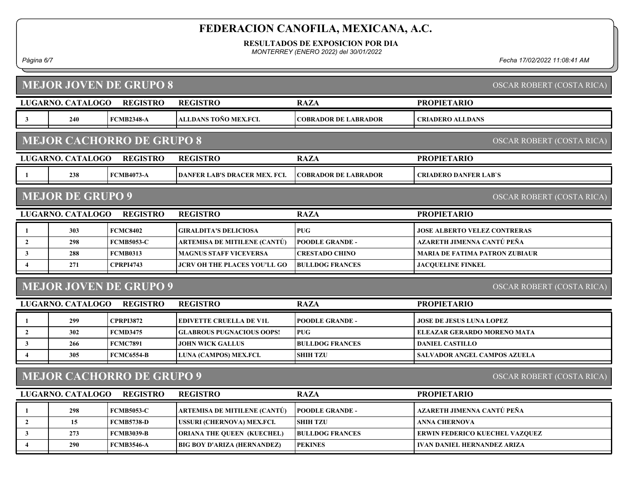RESULTADOS DE EXPOSICION POR DIA

MONTERREY (ENERO 2022) del 30/01/2022

#### MEJOR JOVEN DE GRUPO 8

Página 6/7 Fecha 17/02/2022 11:08:41 AM

|                                                      | <b>MEJOR JOVEN DE GRUPO 8</b><br>OSCAR ROBERT (COSTA RICA)    |                                  |                                      |                             |                                       |  |  |  |  |  |
|------------------------------------------------------|---------------------------------------------------------------|----------------------------------|--------------------------------------|-----------------------------|---------------------------------------|--|--|--|--|--|
|                                                      | LUGARNO. CATALOGO                                             | <b>REGISTRO</b>                  | <b>REGISTRO</b>                      | <b>RAZA</b>                 | <b>PROPIETARIO</b>                    |  |  |  |  |  |
| $\mathbf{3}$                                         | 240                                                           | <b>FCMB2348-A</b>                | ALLDANS TOÑO MEX.FCI.                | <b>COBRADOR DE LABRADOR</b> | <b>CRIADERO ALLDANS</b>               |  |  |  |  |  |
|                                                      | <b>MEJOR CACHORRO DE GRUPO 8</b><br>OSCAR ROBERT (COSTA RICA) |                                  |                                      |                             |                                       |  |  |  |  |  |
|                                                      | LUGARNO. CATALOGO                                             | <b>REGISTRO</b>                  | <b>REGISTRO</b>                      | <b>RAZA</b>                 | <b>PROPIETARIO</b>                    |  |  |  |  |  |
| 1                                                    | 238                                                           | <b>FCMB4073-A</b>                | <b>DANFER LAB'S DRACER MEX. FCI.</b> | <b>COBRADOR DE LABRADOR</b> | <b>CRIADERO DANFER LAB'S</b>          |  |  |  |  |  |
| <b>MEJOR DE GRUPO 9</b><br>OSCAR ROBERT (COSTA RICA) |                                                               |                                  |                                      |                             |                                       |  |  |  |  |  |
|                                                      | LUGARNO. CATALOGO                                             | <b>REGISTRO</b>                  | <b>REGISTRO</b>                      | <b>RAZA</b>                 | <b>PROPIETARIO</b>                    |  |  |  |  |  |
| $\mathbf{1}$                                         | 303                                                           | <b>FCMC8402</b>                  | <b>GIRALDITA'S DELICIOSA</b>         | <b>PUG</b>                  | <b>JOSE ALBERTO VELEZ CONTRERAS</b>   |  |  |  |  |  |
| $\overline{2}$                                       | 298                                                           | <b>FCMB5053-C</b>                | ARTEMISA DE MITILENE (CANTÚ)         | <b>POODLE GRANDE -</b>      | AZARETH JIMENNA CANTÚ PEÑA            |  |  |  |  |  |
| 3                                                    | 288                                                           | <b>FCMB0313</b>                  | <b>MAGNUS STAFF VICEVERSA</b>        | <b>CRESTADO CHINO</b>       | <b>MARIA DE FATIMA PATRON ZUBIAUR</b> |  |  |  |  |  |
|                                                      |                                                               |                                  |                                      |                             |                                       |  |  |  |  |  |
| $\overline{\mathbf{4}}$                              | 271                                                           | <b>CPRPI4743</b>                 | <b>JCRV OH THE PLACES YOU'LL GO</b>  | <b>BULLDOG FRANCES</b>      | <b>JACOUELINE FINKEL</b>              |  |  |  |  |  |
|                                                      |                                                               | <b>MEJOR JOVEN DE GRUPO 9</b>    |                                      |                             | OSCAR ROBERT (COSTA RICA)             |  |  |  |  |  |
|                                                      | LUGARNO. CATALOGO                                             | <b>REGISTRO</b>                  | <b>REGISTRO</b>                      | <b>RAZA</b>                 | <b>PROPIETARIO</b>                    |  |  |  |  |  |
| 1                                                    | 299                                                           | <b>CPRPI3872</b>                 | <b>EDIVETTE CRUELLA DE V1L</b>       | <b>POODLE GRANDE -</b>      | <b>JOSE DE JESUS LUNA LOPEZ</b>       |  |  |  |  |  |
| $\overline{2}$                                       | 302                                                           | <b>FCMD3475</b>                  | <b>GLABROUS PUGNACIOUS OOPS!</b>     | <b>PUG</b>                  | ELEAZAR GERARDO MORENO MATA           |  |  |  |  |  |
| 3                                                    | 266                                                           | <b>FCMC7891</b>                  | <b>JOHN WICK GALLUS</b>              | <b>BULLDOG FRANCES</b>      | <b>DANIEL CASTILLO</b>                |  |  |  |  |  |
| $\boldsymbol{\Lambda}$                               | 305                                                           | <b>FCMC6554-B</b>                | LUNA (CAMPOS) MEX.FCI.               | <b>SHIH TZU</b>             | <b>SALVADOR ANGEL CAMPOS AZUELA</b>   |  |  |  |  |  |
|                                                      |                                                               | <b>MEJOR CACHORRO DE GRUPO 9</b> |                                      |                             | OSCAR ROBERT (COSTA RICA)             |  |  |  |  |  |
|                                                      | LUGARNO. CATALOGO                                             | <b>REGISTRO</b>                  | <b>REGISTRO</b>                      | <b>RAZA</b>                 | <b>PROPIETARIO</b>                    |  |  |  |  |  |
| 1                                                    | 298                                                           | <b>FCMB5053-C</b>                | ARTEMISA DE MITILENE (CANTÚ)         | <b>POODLE GRANDE -</b>      | AZARETH JIMENNA CANTÚ PEÑA            |  |  |  |  |  |
| $\overline{2}$                                       | 15                                                            | <b>FCMB5738-D</b>                | USSURI (CHERNOVA) MEX.FCI.           | <b>SHIH TZU</b>             | <b>ANNA CHERNOVA</b>                  |  |  |  |  |  |
| 3                                                    | 273                                                           | <b>FCMB3039-B</b>                | <b>ORIANA THE QUEEN (KUECHEL)</b>    | <b>BULLDOG FRANCES</b>      | ERWIN FEDERICO KUECHEL VAZQUEZ        |  |  |  |  |  |